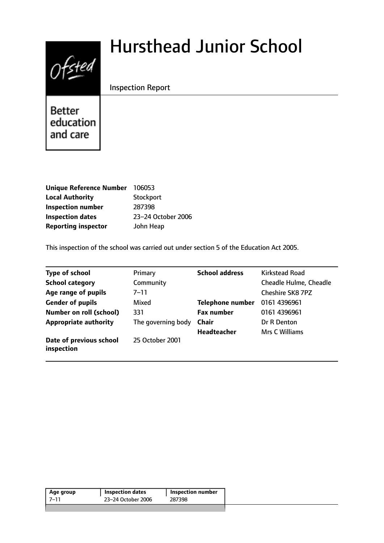# $0$ fsted

# Hursthead Junior School

Inspection Report

Better education and care

| <b>Unique Reference Number</b> | 106053             |
|--------------------------------|--------------------|
| <b>Local Authority</b>         | Stockport          |
| <b>Inspection number</b>       | 287398             |
| <b>Inspection dates</b>        | 23-24 October 2006 |
| <b>Reporting inspector</b>     | John Heap          |

This inspection of the school was carried out under section 5 of the Education Act 2005.

| <b>Type of school</b>                 | Primary            | <b>School address</b>   | <b>Kirkstead Road</b>         |
|---------------------------------------|--------------------|-------------------------|-------------------------------|
| <b>School category</b>                | Community          |                         | <b>Cheadle Hulme, Cheadle</b> |
| Age range of pupils                   | 7–11               |                         | <b>Cheshire SK8 7PZ</b>       |
| <b>Gender of pupils</b>               | Mixed              | <b>Telephone number</b> | 0161 4396961                  |
| <b>Number on roll (school)</b>        | 331                | <b>Fax number</b>       | 0161 4396961                  |
| <b>Appropriate authority</b>          | The governing body | <b>Chair</b>            | Dr R Denton                   |
|                                       |                    | <b>Headteacher</b>      | Mrs C Williams                |
| Date of previous school<br>inspection | 25 October 2001    |                         |                               |

| Age group | <b>Inspection dates</b> | <b>Inspection number</b> |
|-----------|-------------------------|--------------------------|
| 7–11      | 23-24 October 2006      | 287398                   |
|           |                         |                          |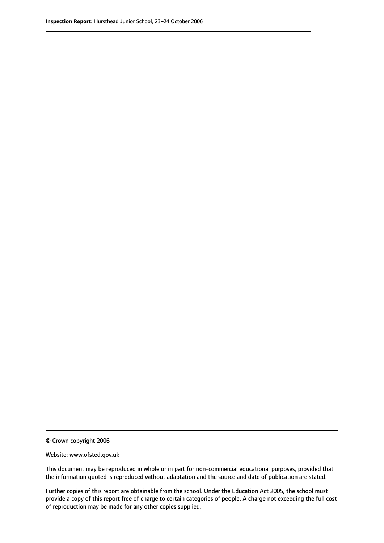© Crown copyright 2006

Website: www.ofsted.gov.uk

This document may be reproduced in whole or in part for non-commercial educational purposes, provided that the information quoted is reproduced without adaptation and the source and date of publication are stated.

Further copies of this report are obtainable from the school. Under the Education Act 2005, the school must provide a copy of this report free of charge to certain categories of people. A charge not exceeding the full cost of reproduction may be made for any other copies supplied.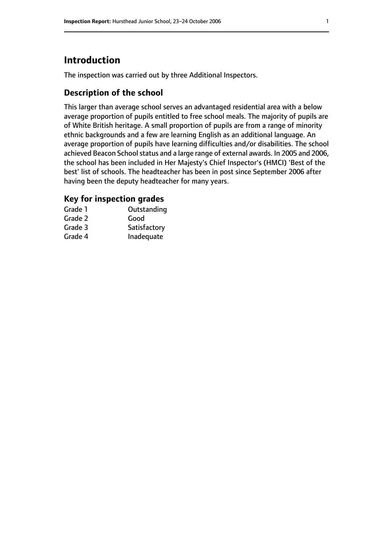# **Introduction**

The inspection was carried out by three Additional Inspectors.

# **Description of the school**

This larger than average school serves an advantaged residential area with a below average proportion of pupils entitled to free school meals. The majority of pupils are of White British heritage. A small proportion of pupils are from a range of minority ethnic backgrounds and a few are learning English as an additional language. An average proportion of pupils have learning difficulties and/or disabilities. The school achieved Beacon School status and a large range of external awards. In 2005 and 2006, the school has been included in Her Majesty's Chief Inspector's (HMCI) 'Best of the best' list of schools. The headteacher has been in post since September 2006 after having been the deputy headteacher for many years.

# **Key for inspection grades**

| Grade 1 | Outstanding  |
|---------|--------------|
| Grade 2 | Good         |
| Grade 3 | Satisfactory |
| Grade 4 | Inadequate   |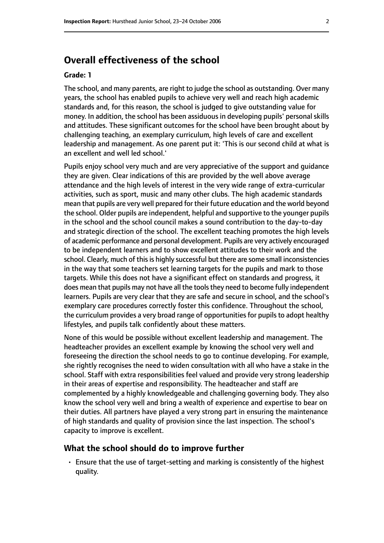# **Overall effectiveness of the school**

#### **Grade: 1**

The school, and many parents, are right to judge the school as outstanding. Over many years, the school has enabled pupils to achieve very well and reach high academic standards and, for this reason, the school is judged to give outstanding value for money. In addition, the school has been assiduous in developing pupils' personal skills and attitudes. These significant outcomes for the school have been brought about by challenging teaching, an exemplary curriculum, high levels of care and excellent leadership and management. As one parent put it: 'This is our second child at what is an excellent and well led school.'

Pupils enjoy school very much and are very appreciative of the support and guidance they are given. Clear indications of this are provided by the well above average attendance and the high levels of interest in the very wide range of extra-curricular activities, such as sport, music and many other clubs. The high academic standards mean that pupils are very well prepared for their future education and the world beyond the school. Older pupils are independent, helpful and supportive to the younger pupils in the school and the school council makes a sound contribution to the day-to-day and strategic direction of the school. The excellent teaching promotes the high levels of academic performance and personal development. Pupils are very actively encouraged to be independent learners and to show excellent attitudes to their work and the school. Clearly, much of this is highly successful but there are some small inconsistencies in the way that some teachers set learning targets for the pupils and mark to those targets. While this does not have a significant effect on standards and progress, it does mean that pupils may not have all the tools they need to become fully independent learners. Pupils are very clear that they are safe and secure in school, and the school's exemplary care procedures correctly foster this confidence. Throughout the school, the curriculum provides a very broad range of opportunities for pupils to adopt healthy lifestyles, and pupils talk confidently about these matters.

None of this would be possible without excellent leadership and management. The headteacher provides an excellent example by knowing the school very well and foreseeing the direction the school needs to go to continue developing. For example, she rightly recognises the need to widen consultation with all who have a stake in the school. Staff with extra responsibilities feel valued and provide very strong leadership in their areas of expertise and responsibility. The headteacher and staff are complemented by a highly knowledgeable and challenging governing body. They also know the school very well and bring a wealth of experience and expertise to bear on their duties. All partners have played a very strong part in ensuring the maintenance of high standards and quality of provision since the last inspection. The school's capacity to improve is excellent.

#### **What the school should do to improve further**

• Ensure that the use of target-setting and marking is consistently of the highest quality.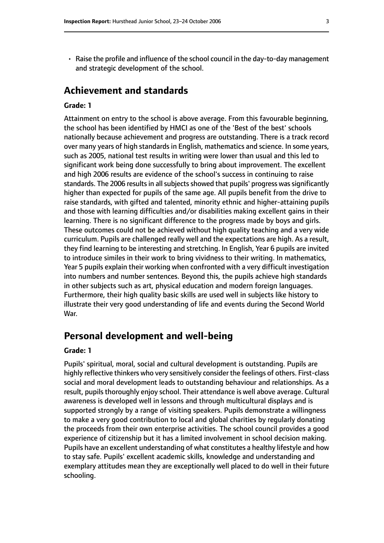• Raise the profile and influence of the school council in the day-to-day management and strategic development of the school.

# **Achievement and standards**

#### **Grade: 1**

Attainment on entry to the school is above average. From this favourable beginning, the school has been identified by HMCI as one of the 'Best of the best' schools nationally because achievement and progress are outstanding. There is a track record over many years of high standards in English, mathematics and science. In some years, such as 2005, national test results in writing were lower than usual and this led to significant work being done successfully to bring about improvement. The excellent and high 2006 results are evidence of the school's success in continuing to raise standards. The 2006 results in all subjects showed that pupils' progress was significantly higher than expected for pupils of the same age. All pupils benefit from the drive to raise standards, with gifted and talented, minority ethnic and higher-attaining pupils and those with learning difficulties and/or disabilities making excellent gains in their learning. There is no significant difference to the progress made by boys and girls. These outcomes could not be achieved without high quality teaching and a very wide curriculum. Pupils are challenged really well and the expectations are high. As a result, they find learning to be interesting and stretching. In English, Year 6 pupils are invited to introduce similes in their work to bring vividness to their writing. In mathematics, Year 5 pupils explain their working when confronted with a very difficult investigation into numbers and number sentences. Beyond this, the pupils achieve high standards in other subjects such as art, physical education and modern foreign languages. Furthermore, their high quality basic skills are used well in subjects like history to illustrate their very good understanding of life and events during the Second World War.

# **Personal development and well-being**

#### **Grade: 1**

Pupils' spiritual, moral, social and cultural development is outstanding. Pupils are highly reflective thinkers who very sensitively consider the feelings of others. First-class social and moral development leads to outstanding behaviour and relationships. As a result, pupils thoroughly enjoy school. Their attendance is well above average. Cultural awareness is developed well in lessons and through multicultural displays and is supported strongly by a range of visiting speakers. Pupils demonstrate a willingness to make a very good contribution to local and global charities by regularly donating the proceeds from their own enterprise activities. The school council provides a good experience of citizenship but it has a limited involvement in school decision making. Pupils have an excellent understanding of what constitutes a healthy lifestyle and how to stay safe. Pupils' excellent academic skills, knowledge and understanding and exemplary attitudes mean they are exceptionally well placed to do well in their future schooling.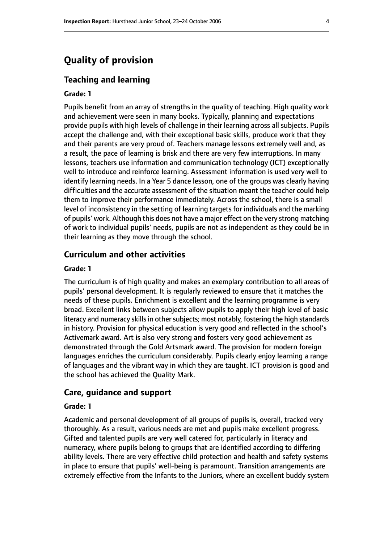# **Quality of provision**

#### **Teaching and learning**

#### **Grade: 1**

Pupils benefit from an array of strengths in the quality of teaching. High quality work and achievement were seen in many books. Typically, planning and expectations provide pupils with high levels of challenge in their learning across all subjects. Pupils accept the challenge and, with their exceptional basic skills, produce work that they and their parents are very proud of. Teachers manage lessons extremely well and, as a result, the pace of learning is brisk and there are very few interruptions. In many lessons, teachers use information and communication technology (ICT) exceptionally well to introduce and reinforce learning. Assessment information is used very well to identify learning needs. In a Year 5 dance lesson, one of the groups was clearly having difficulties and the accurate assessment of the situation meant the teacher could help them to improve their performance immediately. Across the school, there is a small level of inconsistency in the setting of learning targets for individuals and the marking of pupils' work. Although this does not have a major effect on the very strong matching of work to individual pupils' needs, pupils are not as independent as they could be in their learning as they move through the school.

#### **Curriculum and other activities**

#### **Grade: 1**

The curriculum is of high quality and makes an exemplary contribution to all areas of pupils' personal development. It is regularly reviewed to ensure that it matches the needs of these pupils. Enrichment is excellent and the learning programme is very broad. Excellent links between subjects allow pupils to apply their high level of basic literacy and numeracy skills in other subjects; most notably, fostering the high standards in history. Provision for physical education is very good and reflected in the school's Activemark award. Art is also very strong and fosters very good achievement as demonstrated through the Gold Artsmark award. The provision for modern foreign languages enriches the curriculum considerably. Pupils clearly enjoy learning a range of languages and the vibrant way in which they are taught. ICT provision is good and the school has achieved the Quality Mark.

#### **Care, guidance and support**

#### **Grade: 1**

Academic and personal development of all groups of pupils is, overall, tracked very thoroughly. As a result, various needs are met and pupils make excellent progress. Gifted and talented pupils are very well catered for, particularly in literacy and numeracy, where pupils belong to groups that are identified according to differing ability levels. There are very effective child protection and health and safety systems in place to ensure that pupils' well-being is paramount. Transition arrangements are extremely effective from the Infants to the Juniors, where an excellent buddy system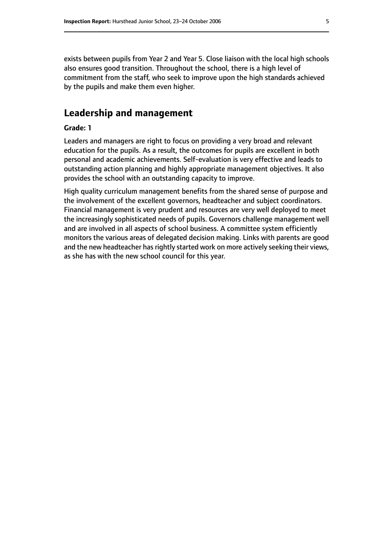exists between pupils from Year 2 and Year 5. Close liaison with the local high schools also ensures good transition. Throughout the school, there is a high level of commitment from the staff, who seek to improve upon the high standards achieved by the pupils and make them even higher.

# **Leadership and management**

#### **Grade: 1**

Leaders and managers are right to focus on providing a very broad and relevant education for the pupils. As a result, the outcomes for pupils are excellent in both personal and academic achievements. Self-evaluation is very effective and leads to outstanding action planning and highly appropriate management objectives. It also provides the school with an outstanding capacity to improve.

High quality curriculum management benefits from the shared sense of purpose and the involvement of the excellent governors, headteacher and subject coordinators. Financial management is very prudent and resources are very well deployed to meet the increasingly sophisticated needs of pupils. Governors challenge management well and are involved in all aspects of school business. A committee system efficiently monitors the various areas of delegated decision making. Links with parents are good and the new headteacher has rightly started work on more actively seeking their views, as she has with the new school council for this year.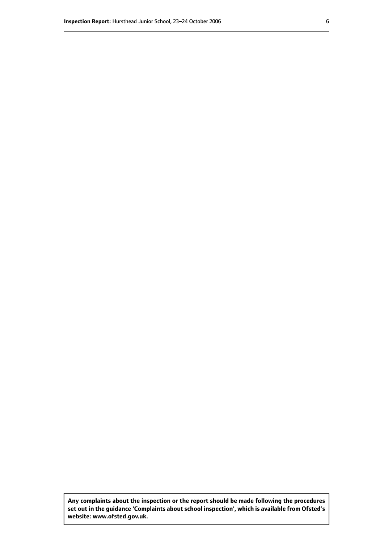**Any complaints about the inspection or the report should be made following the procedures set out inthe guidance 'Complaints about school inspection', whichis available from Ofsted's website: www.ofsted.gov.uk.**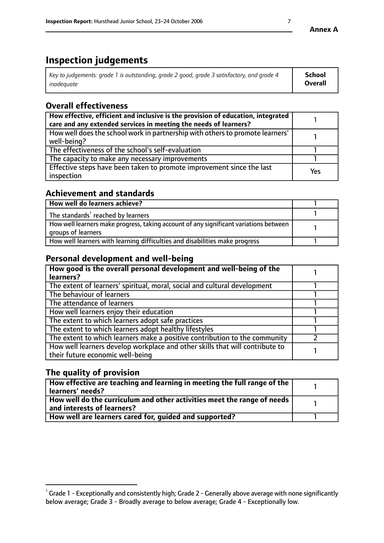# **Inspection judgements**

| Key to judgements: grade 1 is outstanding, grade 2 good, grade 3 satisfactory, and grade 4 | <b>School</b>  |
|--------------------------------------------------------------------------------------------|----------------|
| inadeauate                                                                                 | <b>Overall</b> |

# **Overall effectiveness**

| How effective, efficient and inclusive is the provision of education, integrated<br>care and any extended services in meeting the needs of learners? |            |
|------------------------------------------------------------------------------------------------------------------------------------------------------|------------|
| How well does the school work in partnership with others to promote learners'<br>well-being?                                                         |            |
| The effectiveness of the school's self-evaluation                                                                                                    |            |
| The capacity to make any necessary improvements                                                                                                      |            |
| Effective steps have been taken to promote improvement since the last<br>inspection                                                                  | <b>Yes</b> |

# **Achievement and standards**

| How well do learners achieve?                                                                               |  |
|-------------------------------------------------------------------------------------------------------------|--|
| The standards <sup>1</sup> reached by learners                                                              |  |
| How well learners make progress, taking account of any significant variations between<br>groups of learners |  |
| How well learners with learning difficulties and disabilities make progress                                 |  |

# **Personal development and well-being**

| How good is the overall personal development and well-being of the<br>learners?                                  |  |
|------------------------------------------------------------------------------------------------------------------|--|
| The extent of learners' spiritual, moral, social and cultural development                                        |  |
| The behaviour of learners                                                                                        |  |
| The attendance of learners                                                                                       |  |
| How well learners enjoy their education                                                                          |  |
| The extent to which learners adopt safe practices                                                                |  |
| The extent to which learners adopt healthy lifestyles                                                            |  |
| The extent to which learners make a positive contribution to the community                                       |  |
| How well learners develop workplace and other skills that will contribute to<br>their future economic well-being |  |

# **The quality of provision**

| $\mid$ How effective are teaching and learning in meeting the full range of the $\mid$<br>learners' needs? |  |
|------------------------------------------------------------------------------------------------------------|--|
| How well do the curriculum and other activities meet the range of needs<br>and interests of learners?      |  |
| How well are learners cared for, guided and supported?                                                     |  |

 $^1$  Grade 1 - Exceptionally and consistently high; Grade 2 - Generally above average with none significantly below average; Grade 3 - Broadly average to below average; Grade 4 - Exceptionally low.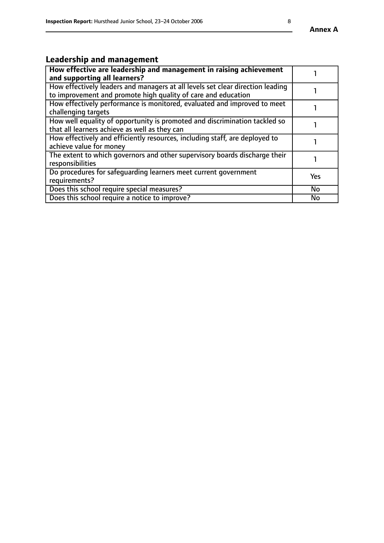# **Leadership and management**

| How effective are leadership and management in raising achievement<br>and supporting all learners?                                              |           |
|-------------------------------------------------------------------------------------------------------------------------------------------------|-----------|
| How effectively leaders and managers at all levels set clear direction leading<br>to improvement and promote high quality of care and education |           |
| How effectively performance is monitored, evaluated and improved to meet<br>challenging targets                                                 |           |
| How well equality of opportunity is promoted and discrimination tackled so<br>that all learners achieve as well as they can                     |           |
| How effectively and efficiently resources, including staff, are deployed to<br>achieve value for money                                          |           |
| The extent to which governors and other supervisory boards discharge their<br>responsibilities                                                  |           |
| Do procedures for safeguarding learners meet current government<br>requirements?                                                                | Yes       |
| Does this school require special measures?                                                                                                      | <b>No</b> |
| Does this school require a notice to improve?                                                                                                   | No        |